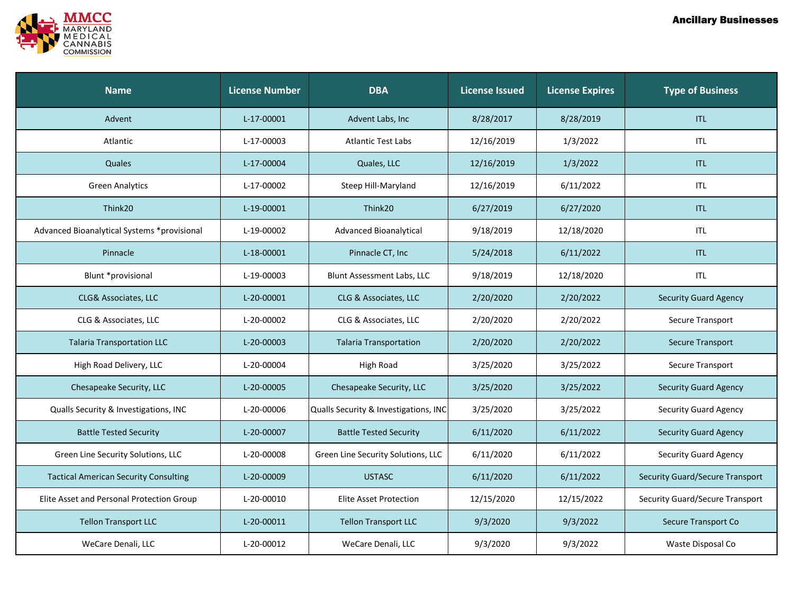

| <b>Name</b>                                  | <b>License Number</b> | <b>DBA</b>                            | <b>License Issued</b> | <b>License Expires</b> | <b>Type of Business</b>                |
|----------------------------------------------|-----------------------|---------------------------------------|-----------------------|------------------------|----------------------------------------|
| Advent                                       | L-17-00001            | Advent Labs, Inc                      | 8/28/2017             | 8/28/2019              | <b>ITL</b>                             |
| Atlantic                                     | L-17-00003            | <b>Atlantic Test Labs</b>             | 12/16/2019            | 1/3/2022               | <b>ITL</b>                             |
| Quales                                       | L-17-00004            | Quales, LLC                           | 12/16/2019            | 1/3/2022               | <b>ITL</b>                             |
| <b>Green Analytics</b>                       | L-17-00002            | Steep Hill-Maryland                   | 12/16/2019            | 6/11/2022              | <b>ITL</b>                             |
| Think20                                      | L-19-00001            | Think20                               | 6/27/2019             | 6/27/2020              | <b>ITL</b>                             |
| Advanced Bioanalytical Systems *provisional  | L-19-00002            | Advanced Bioanalytical                | 9/18/2019             | 12/18/2020             | <b>ITL</b>                             |
| Pinnacle                                     | L-18-00001            | Pinnacle CT, Inc                      | 5/24/2018             | 6/11/2022              | <b>ITL</b>                             |
| Blunt *provisional                           | L-19-00003            | Blunt Assessment Labs, LLC            | 9/18/2019             | 12/18/2020             | <b>ITL</b>                             |
| CLG& Associates, LLC                         | L-20-00001            | CLG & Associates, LLC                 | 2/20/2020             | 2/20/2022              | <b>Security Guard Agency</b>           |
| CLG & Associates, LLC                        | L-20-00002            | CLG & Associates, LLC                 | 2/20/2020             | 2/20/2022              | Secure Transport                       |
| <b>Talaria Transportation LLC</b>            | L-20-00003            | <b>Talaria Transportation</b>         | 2/20/2020             | 2/20/2022              | <b>Secure Transport</b>                |
| High Road Delivery, LLC                      | L-20-00004            | High Road                             | 3/25/2020             | 3/25/2022              | Secure Transport                       |
| Chesapeake Security, LLC                     | L-20-00005            | Chesapeake Security, LLC              | 3/25/2020             | 3/25/2022              | <b>Security Guard Agency</b>           |
| Qualls Security & Investigations, INC        | L-20-00006            | Qualls Security & Investigations, INC | 3/25/2020             | 3/25/2022              | <b>Security Guard Agency</b>           |
| <b>Battle Tested Security</b>                | L-20-00007            | <b>Battle Tested Security</b>         | 6/11/2020             | 6/11/2022              | <b>Security Guard Agency</b>           |
| Green Line Security Solutions, LLC           | L-20-00008            | Green Line Security Solutions, LLC    | 6/11/2020             | 6/11/2022              | <b>Security Guard Agency</b>           |
| <b>Tactical American Security Consulting</b> | L-20-00009            | <b>USTASC</b>                         | 6/11/2020             | 6/11/2022              | <b>Security Guard/Secure Transport</b> |
| Elite Asset and Personal Protection Group    | L-20-00010            | <b>Elite Asset Protection</b>         | 12/15/2020            | 12/15/2022             | Security Guard/Secure Transport        |
| <b>Tellon Transport LLC</b>                  | L-20-00011            | <b>Tellon Transport LLC</b>           | 9/3/2020              | 9/3/2022               | Secure Transport Co                    |
| WeCare Denali, LLC                           | L-20-00012            | WeCare Denali, LLC                    | 9/3/2020              | 9/3/2022               | Waste Disposal Co                      |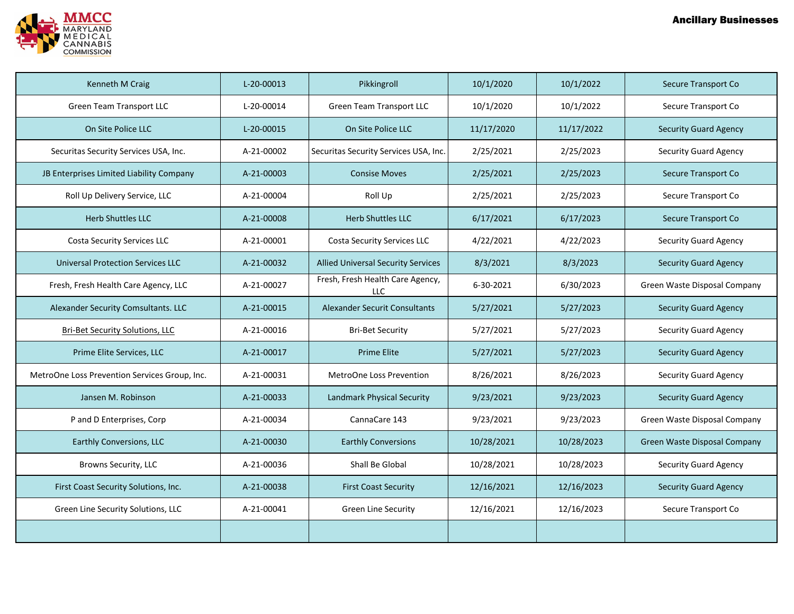

| Kenneth M Craig                               | L-20-00013 | Pikkingroll                                    | 10/1/2020  | 10/1/2022  | Secure Transport Co          |
|-----------------------------------------------|------------|------------------------------------------------|------------|------------|------------------------------|
| <b>Green Team Transport LLC</b>               | L-20-00014 | <b>Green Team Transport LLC</b>                | 10/1/2020  | 10/1/2022  | Secure Transport Co          |
| On Site Police LLC                            | L-20-00015 | On Site Police LLC                             | 11/17/2020 | 11/17/2022 | <b>Security Guard Agency</b> |
| Securitas Security Services USA, Inc.         | A-21-00002 | Securitas Security Services USA, Inc.          | 2/25/2021  | 2/25/2023  | <b>Security Guard Agency</b> |
| JB Enterprises Limited Liability Company      | A-21-00003 | <b>Consise Moves</b>                           | 2/25/2021  | 2/25/2023  | Secure Transport Co          |
| Roll Up Delivery Service, LLC                 | A-21-00004 | Roll Up                                        | 2/25/2021  | 2/25/2023  | Secure Transport Co          |
| <b>Herb Shuttles LLC</b>                      | A-21-00008 | <b>Herb Shuttles LLC</b>                       | 6/17/2021  | 6/17/2023  | Secure Transport Co          |
| <b>Costa Security Services LLC</b>            | A-21-00001 | Costa Security Services LLC                    | 4/22/2021  | 4/22/2023  | <b>Security Guard Agency</b> |
| <b>Universal Protection Services LLC</b>      | A-21-00032 | <b>Allied Universal Security Services</b>      | 8/3/2021   | 8/3/2023   | <b>Security Guard Agency</b> |
| Fresh, Fresh Health Care Agency, LLC          | A-21-00027 | Fresh, Fresh Health Care Agency,<br><b>LLC</b> | 6-30-2021  | 6/30/2023  | Green Waste Disposal Company |
| Alexander Security Comsultants. LLC           | A-21-00015 | <b>Alexander Securit Consultants</b>           | 5/27/2021  | 5/27/2023  | <b>Security Guard Agency</b> |
| <b>Bri-Bet Security Solutions, LLC</b>        | A-21-00016 | <b>Bri-Bet Security</b>                        | 5/27/2021  | 5/27/2023  | <b>Security Guard Agency</b> |
| Prime Elite Services, LLC                     | A-21-00017 | <b>Prime Elite</b>                             | 5/27/2021  | 5/27/2023  | <b>Security Guard Agency</b> |
| MetroOne Loss Prevention Services Group, Inc. | A-21-00031 | MetroOne Loss Prevention                       | 8/26/2021  | 8/26/2023  | <b>Security Guard Agency</b> |
| Jansen M. Robinson                            | A-21-00033 | Landmark Physical Security                     | 9/23/2021  | 9/23/2023  | <b>Security Guard Agency</b> |
| P and D Enterprises, Corp                     | A-21-00034 | CannaCare 143                                  | 9/23/2021  | 9/23/2023  | Green Waste Disposal Company |
| Earthly Conversions, LLC                      | A-21-00030 | <b>Earthly Conversions</b>                     | 10/28/2021 | 10/28/2023 | Green Waste Disposal Company |
| Browns Security, LLC                          | A-21-00036 | Shall Be Global                                | 10/28/2021 | 10/28/2023 | <b>Security Guard Agency</b> |
| First Coast Security Solutions, Inc.          | A-21-00038 | <b>First Coast Security</b>                    | 12/16/2021 | 12/16/2023 | <b>Security Guard Agency</b> |
| Green Line Security Solutions, LLC            | A-21-00041 | <b>Green Line Security</b>                     | 12/16/2021 | 12/16/2023 | Secure Transport Co          |
|                                               |            |                                                |            |            |                              |